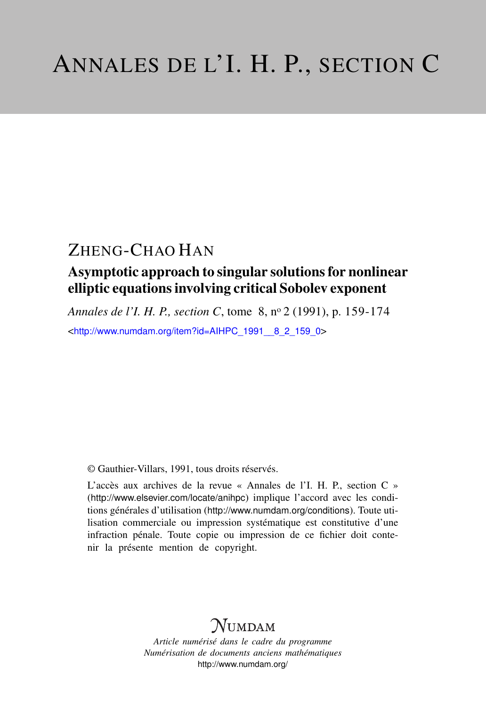## ZHENG-CHAO HAN

## Asymptotic approach to singular solutions for nonlinear elliptic equations involving critical Sobolev exponent

*Annales de l'I. H. P., section C*, tome 8, n<sup>o</sup> 2 (1991), p. 159-174

<[http://www.numdam.org/item?id=AIHPC\\_1991\\_\\_8\\_2\\_159\\_0](http://www.numdam.org/item?id=AIHPC_1991__8_2_159_0)>

© Gauthier-Villars, 1991, tous droits réservés.

L'accès aux archives de la revue « Annales de l'I. H. P., section C » (<http://www.elsevier.com/locate/anihpc>) implique l'accord avec les conditions générales d'utilisation (<http://www.numdam.org/conditions>). Toute utilisation commerciale ou impression systématique est constitutive d'une infraction pénale. Toute copie ou impression de ce fichier doit contenir la présente mention de copyright.

# $N$ UMDAM

*Article numérisé dans le cadre du programme Numérisation de documents anciens mathématiques* <http://www.numdam.org/>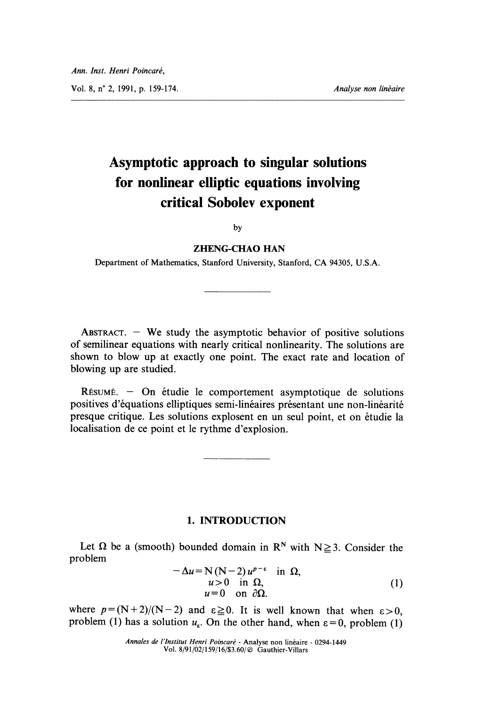## Asymptotic approach to singular solutions for nonlinear elliptic equations involving critical Sobolev exponent

by

### ZHENG-CHAO HAN

Department of Mathematics, Stanford University, Stanford, CA 94305, U.S.A.

ABSTRACT.  $-$  We study the asymptotic behavior of positive solutions of semilinear equations with nearly critical nonlinearity. The solutions are shown to blow up at exactly one point. The exact rate and location of blowing up are studied.

RÉSUMÉ. - On étudie le comportement asymptotique de solutions positives d'équations elliptiques semi-linéaires présentant une non-linéarité presque critique. Les solutions explosent en un seul point, et on etudie la localisation de ce point et le rythme d'explosion.

### 1. INTRODUCTION

Let  $\Omega$  be a (smooth) bounded domain in R<sup>N</sup> with N $\geq$ 3. Consider the problem

$$
-\Delta u = N (N-2) u^{p-\epsilon} \text{ in } \Omega, \n u > 0 \text{ in } \Omega, \n u = 0 \text{ on } \partial\Omega.
$$
\n(1)

where  $p = (N+2)/(N-2)$  and  $\epsilon \ge 0$ . It is well known that when  $\epsilon > 0$ , problem (1) has a solution  $u_{\varepsilon}$ . On the other hand, when  $\varepsilon = 0$ , problem (1)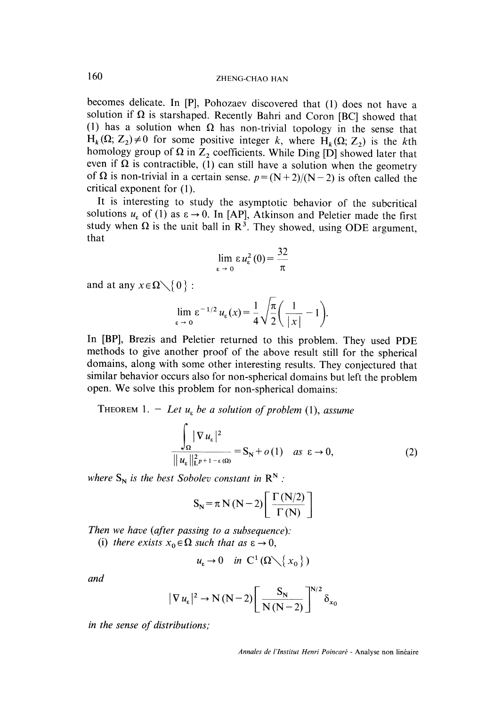becomes delicate. In [P], Pohozaev discovered that (1) does not have a solution if  $\Omega$  is starshaped. Recently Bahri and Coron [BC] showed that (1) has a solution when  $\Omega$  has non-trivial topology in the sense that  $H_k(\Omega; Z_2) \neq 0$  for some positive integer k, where  $H_k(\Omega; Z_2)$  is the kth homology group of  $\Omega$  in  $Z_2$  coefficients. While Ding [D] showed later that<br>even if  $\Omega$  is contractible, (1) can still have a solution when the geometry<br>of  $\Omega$  is non-trivial in a certain sense.  $p = (N+2)/(N-2)$  is ofte critical exponent for (1).

It is interesting to study the asymptotic behavior of the subcritical solutions  $u_{\varepsilon}$  of (1) as  $\varepsilon \to 0$ . In [AP], Atkinson and Peletier made the first study when  $\Omega$  is the unit ball in  $R^3$ . They showed, using ODE argument, that

$$
\lim_{\varepsilon \to 0} \varepsilon u_{\varepsilon}^{2}(0) = \frac{32}{\pi}
$$

and at any  $x \in \Omega \setminus \{0\}$ :

$$
\lim_{\varepsilon \to 0} \varepsilon^{-1/2} u_{\varepsilon}(x) = \frac{1}{4} \sqrt{\frac{\pi}{2}} \left( \frac{1}{|x|} - 1 \right).
$$

In [BP], Brezis and Peletier returned to this problem. They used PDE methods to give another proof of the above result still for the spherical domains, along with some other interesting results. They conjectured that similar behavior occurs also for non-spherical domains but left the problem open. We solve this problem for non-spherical domains:

THEOREM 1. - Let  $u_k$  be a solution of problem (1), assume

$$
\frac{\int_{\Omega} |\nabla u_{\varepsilon}|^2}{\|u_{\varepsilon}\|_{\mathbb{L}^{p+1-\varepsilon}(\Omega)}^2} = S_N + o(1) \quad \text{as } \varepsilon \to 0,
$$
\n(2)

where  $S_N$  is the best Sobolev constant in  $\mathbb{R}^N$ :

$$
S_{N} = \pi N (N - 2) \left[ \frac{\Gamma (N/2)}{\Gamma (N)} \right]
$$

Then we have (after passing to a subsequence):

(i) there exists  $x_0 \in \Omega$  such that as  $\varepsilon \to 0$ ,

$$
u_{\varepsilon} \to 0 \quad \text{in} \ \mathcal{C}^1(\Omega \setminus \{x_0\})
$$

and

$$
|\nabla u_{\varepsilon}|^2 \to N(N-2) \left[ \frac{S_N}{N(N-2)} \right]^{N/2} \delta_{x_0}
$$

in the sense of distributions;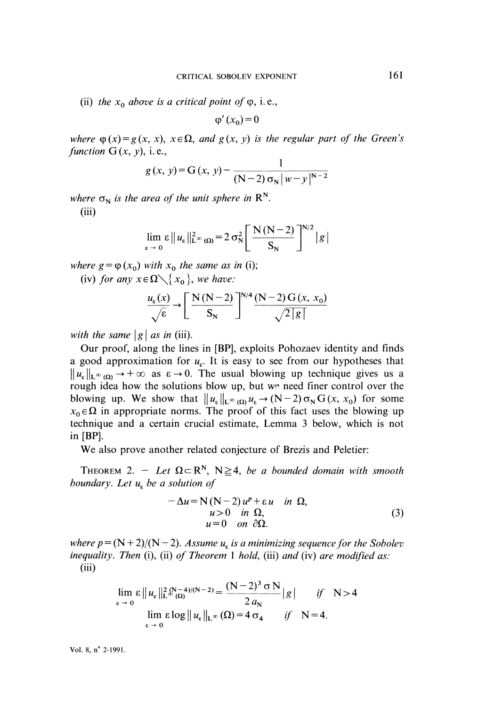(ii) the  $x_0$  above is a critical point of  $\varphi$ , i.e.,

$$
\varphi'(x_0) = 0
$$

where  $\varphi(x) = g(x, x), x \in \Omega$ , and  $g(x, y)$  is the regular part of the Green's function  $G(x, y)$ , i.e.,

$$
g(x, y) = G(x, y) - \frac{1}{(N-2)\sigma_N|w-y|^{N-2}}
$$

where  $\sigma_N$  is the area of the unit sphere in  $\mathbb{R}^N$ . (iii)

$$
\lim_{\varepsilon \to 0} \varepsilon \| u_{\varepsilon} \|_{\mathsf{L}^{\infty}(\Omega)}^2 = 2 \sigma_N^2 \left[ \frac{\mathcal{N}(\mathcal{N} - 2)}{\mathcal{S}_{\mathcal{N}}} \right]^{N/2} |g|
$$

where  $g = \varphi(x_0)$  with  $x_0$  the same as in (i);

(iv) for any  $x \in \Omega \setminus \{x_0\}$ , we have:

$$
\frac{u_{\varepsilon}(x)}{\sqrt{\varepsilon}} \rightarrow \left[\frac{N(N-2)}{S_N}\right]^{N/4} \frac{(N-2)G(x, x_0)}{\sqrt{2|g|}}
$$

with the same  $|g|$  as in (iii).

Our proof, along the lines in [BP], exploits Pohozaev identity and finds a good approximation for  $u<sub>k</sub>$ . It is easy to see from our hypotheses that  $||u_{\varepsilon}||_{L^{\infty}(\Omega)} \rightarrow +\infty$  as  $\varepsilon \rightarrow 0$ . The usual blowing up technique gives us a rough idea how the solutions blow up, but we need finer control over the blowing up. We show that  $||u_{\varepsilon}||_{L^{\infty}(\Omega)} u_{\varepsilon} \to (N-2) \sigma_N G(x, x_0)$  for some  $x_0 \in \Omega$  in appropriate norms. The proof of this fact uses the blowing up technique and a certain crucial estimate, Lemma 3 below, which is not in [BP].

We also prove another related conjecture of Brezis and Peletier:

THEOREM 2. - Let  $\Omega \subset \mathbb{R}^N$ ,  $N \geq 4$ , be a bounded domain with smooth boundary. Let  $u_k$  be a solution of

$$
-\Delta u = N (N-2) u^{p} + \varepsilon u \quad \text{in } \Omega, \nu = 0 \quad \text{on } \partial_{\Omega}. \tag{3}
$$

where  $p = (N + 2)/(N - 2)$ . Assume  $u<sub>k</sub>$  is a minimizing sequence for the Sobolev inequality. Then (i), (ii) of Theorem 1 hold, (iii) and (iv) are modified as: (iii)

$$
\lim_{\varepsilon \to 0} \varepsilon \|u_{\varepsilon}\|_{\mathbb{L}^{\infty}(\Omega)}^{2(N-4)/(N-2)} = \frac{(N-2)^{3} \sigma N}{2 a_{N}} |g| \quad \text{if} \quad N > 4
$$
  

$$
\lim_{\varepsilon \to 0} \varepsilon \log \|u_{\varepsilon}\|_{\mathbb{L}^{\infty}}(\Omega) = 4 \sigma_{4} \quad \text{if} \quad N = 4.
$$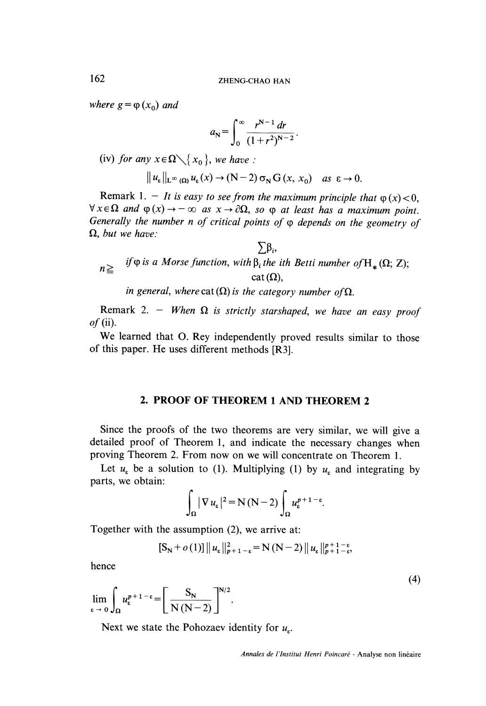where  $g = \varphi(x_0)$  and

$$
a_{N} = \int_{0}^{\infty} \frac{r^{N-1} dr}{(1+r^2)^{N-2}}.
$$

(iv) for any  $x \in \Omega \setminus \{x_0\}$ , we have :

$$
\|u_{\varepsilon}\|_{L^{\infty}(\Omega)} u_{\varepsilon}(x) \to (N-2) \sigma_N G(x, x_0) \quad \text{as } \varepsilon \to 0.
$$

Remark 1. - It is easy to see from the maximum principle that  $\varphi(x) < 0$ ,  $\forall x \in \Omega$  and  $\varphi(x) \rightarrow -\infty$  as  $x \rightarrow \partial\Omega$ , so  $\varphi$  at least has a maximum point. Generally the number n of critical points of  $\varphi$  depends on the geometry of  $\Omega$ , but we have:

$$
n \geqq \quad \text{if } \varphi \text{ is a Morse function, with } \beta_i \text{ the ith Betti number of } H_*(\Omega; Z);
$$
\n
$$
n \geqq \quad \text{cat } (\Omega),
$$

 $\nabla$ R

in general, where cat  $(\Omega)$  is the category number of  $\Omega$ .

Remark 2. - When  $\Omega$  is strictly starshaped, we have an easy proof  $of$  (ii).

We learned that O. Rey independently proved results similar to those of this paper. He uses different methods [R3].

### 2. PROOF OF THEOREM 1 AND THEOREM 2

Since the proofs of the two theorems are very similar, we will give a detailed proof of Theorem 1, and indicate the necessary changes when proving Theorem 2. From now on we will concentrate on Theorem l.

Let  $u_{\varepsilon}$  be a solution to (1). Multiplying (1) by  $u_{\varepsilon}$  and integrating by parts, we obtain:

$$
\int_{\Omega} |\nabla u_{\varepsilon}|^2 = N(N-2) \int_{\Omega} u_{\varepsilon}^{p+1-\varepsilon}.
$$

Together with the assumption (2), we arrive at:

$$
[\mathbf{S_N} + o(1)] || u_{\varepsilon} ||_{p+1-\varepsilon}^2 = \mathbf{N} (\mathbf{N} - 2) || u_{\varepsilon} ||_{p+1-\varepsilon}^{p+1-\varepsilon},
$$

hence

$$
\lim_{\epsilon \to 0} \int_{\Omega} u_{\epsilon}^{p+1-\epsilon} = \left[ \frac{S_{N}}{N(N-2)} \right]^{N/2}.
$$

Next we state the Pohozaev identity for  $u_{\varepsilon}$ .

 $(4)$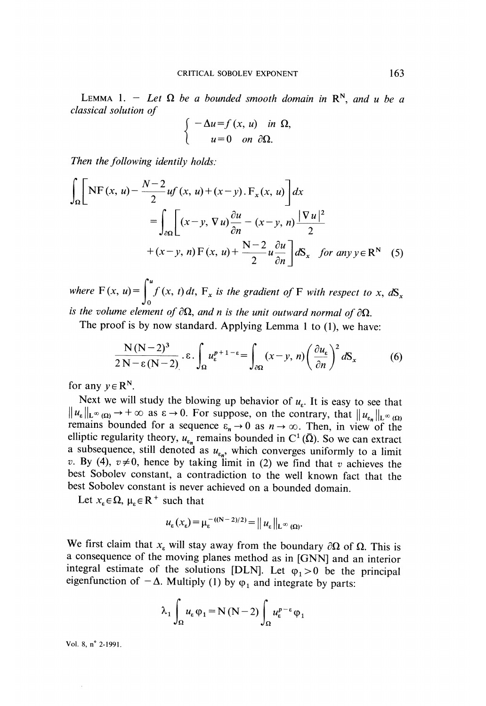LEMMA 1. - Let  $\Omega$  be a bounded smooth domain in  $\mathbb{R}^N$ , and u be a classical solution of

$$
\begin{cases}\n-\Delta u = f(x, u) & \text{in } \Omega \\
u = 0 & \text{on } \partial \Omega.\n\end{cases}
$$

Then the following identily holds:

$$
\int_{\Omega} \left[ \text{NF}(x, u) - \frac{N-2}{2} uf(x, u) + (x-y) \cdot F_x(x, u) \right] dx
$$
  
\n
$$
= \int_{\partial \Omega} \left[ (x-y, \nabla u) \frac{\partial u}{\partial n} - (x-y, n) \frac{|\nabla u|^2}{2} + (x-y, n) F(x, u) + \frac{N-2}{2} u \frac{\partial u}{\partial n} \right] dS_x \text{ for any } y \in \mathbb{R}^N \quad (5)
$$

where  $F(x, u) = \int_{0}^{u} f(x, t) dt$ ,  $F_x$  is the gradient of F with respect to x,  $dS_x$ is the volume element of  $\partial\Omega$ , and n is the unit outward normal of  $\partial\Omega$ .

The proof is by now standard. Applying Lemma 1 to  $(1)$ , we have:

$$
\frac{N(N-2)^3}{2N-\epsilon(N-2)} \cdot \epsilon \cdot \int_{\Omega} u_{\epsilon}^{p+1-\epsilon} = \int_{\partial \Omega} (x-y, n) \left( \frac{\partial u_{\epsilon}}{\partial n} \right)^2 dS_x \tag{6}
$$

for any  $y \in \mathbb{R}^N$ .

Next we will study the blowing up behavior of  $u_{\varepsilon}$ . It is easy to see that  $||u_{\varepsilon}||_{L^{\infty}(\Omega)} \to +\infty$  as  $\varepsilon \to 0$ . For suppose, on the contrary, that  $||u_{\varepsilon}||_{L^{\infty}(\Omega)}$ remains bounded for a sequence  $\varepsilon_n \to 0$  as  $n \to \infty$ . Then, in view of the elliptic regularity theory,  $u_{\varepsilon_n}$  remains bounded in C<sup>1</sup>( $\overline{\Omega}$ ). So we can extract a subsequence, still denoted as  $u_{\varepsilon_n}$ , which converges uniformly to a limit v. By (4),  $v \neq 0$ , hence by taking limit in (2) we find that v achieves the best Sobolev constant, a contradiction to the well known fact that the best Sobolev constant is never achieved on a bounded domain.

Let  $x_{\varepsilon} \in \Omega$ ,  $\mu_{\varepsilon} \in \mathbb{R}^+$  such that

$$
u_{\varepsilon}(x_{\varepsilon}) = \mu_{\varepsilon}^{-(N-2)/2} = || u_{\varepsilon} ||_{L^{\infty}(\Omega)}.
$$

We first claim that  $x_{\varepsilon}$  will stay away from the boundary  $\partial\Omega$  of  $\Omega$ . This is a consequence of the moving planes method as in [GNN] and an interior integral estimate of the solutions [DLN]. Let  $\varphi_1 > 0$  be the principal eigenfunction of  $-\Delta$ . Multiply (1) by  $\varphi_1$  and integrate by parts:

$$
\lambda_1 \int_{\Omega} u_{\varepsilon} \varphi_1 = N (N - 2) \int_{\Omega} u_{\varepsilon}^{p - \varepsilon} \varphi_1
$$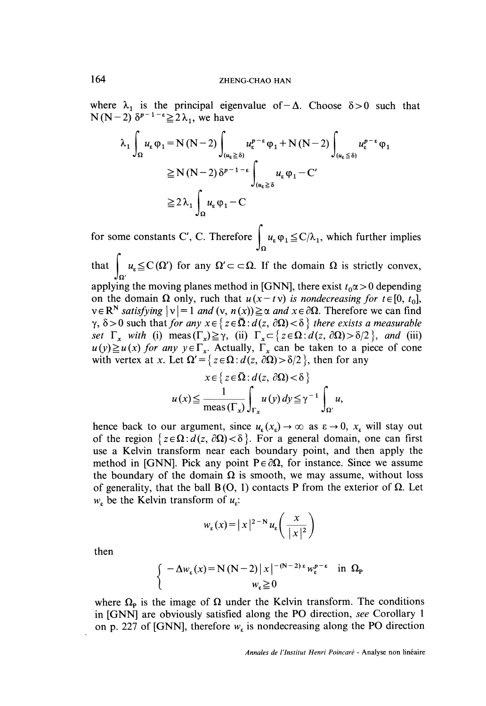where  $\lambda_1$  is the principal eigenvalue of  $-\Delta$ . Choose  $\delta > 0$  such that  $N(N-2)$   $\delta^{p-1-\epsilon} \geq 2\lambda_1$ , we have

$$
\lambda_1 \int_{\Omega} u_{\varepsilon} \varphi_1 = N (N - 2) \int_{(u_{\varepsilon} \ge \delta)} u_{\varepsilon}^{p - \varepsilon} \varphi_1 + N (N - 2) \int_{(u_{\varepsilon} \le \delta)} u_{\varepsilon}^{p - \varepsilon} \varphi_1
$$
  
\n
$$
\ge N (N - 2) \delta^{p - 1 - \varepsilon} \int_{(u_{\varepsilon} \ge \delta)} u_{\varepsilon} \varphi_1 - C'
$$
  
\n
$$
\ge 2 \lambda_1 \int_{\Omega} u_{\varepsilon} \varphi_1 - C
$$

for some constants C', C. Therefore  $\int u_{\epsilon} \varphi_1 \leq C/\lambda_1$ , which further implies

that  $\left[\begin{array}{c} u_{\varepsilon} \leq C(\Omega') \end{array}\right]$  for any  $\Omega' \subset \subset \Omega$ . If the domain  $\Omega$  is strictly convex,

applying the moving planes method in [GNN], there exist  $t_0 \alpha > 0$  depending on the domain  $\Omega$  only, ruch that  $u(x - t v)$  is nondecreasing for  $t \in [0, t_0]$ ,  $v \in \mathbb{R}^N$  satisfying  $|v| = 1$  and  $(v, n(x)) \ge \alpha$  and  $x \in \partial \Omega$ . Therefore we can find  $\gamma$ ,  $\delta > 0$  such that for any  $x \in \{ z \in \overline{\Omega} : d(z, \partial \Omega) < \delta \}$  there exists a measurable set  $\Gamma_x$  with (i) meas  $(\Gamma_x) \ge \gamma$ , (ii)  $\Gamma_x \subset \{ z \in \Omega : d(z, \partial \Omega) > \delta/2 \}$ , and (iii)  $u(y) \ge u(x)$  for any  $y \in \Gamma_x$ . Actually,  $\Gamma_x$  can be taken to a piece of cone with vertex at x. Let  $\Omega' = \{ z \in \Omega : d(z, \partial \Omega) > \delta/2 \}$ , then for any

$$
x \in \{ z \in \Omega : d(z, \partial \Omega) < \delta \}
$$
  

$$
u(x) \le \frac{1}{\max(\Gamma_x)} \int_{\Gamma_x} u(y) dy \le \gamma^{-1} \int_{\Omega'} u,
$$

hence back to our argument, since  $u_{\epsilon}(x_{\epsilon}) \to \infty$  as  $\epsilon \to 0$ ,  $x_{\epsilon}$  will stay out of the region  $\{z \in \Omega : d(z, \partial \Omega) < \delta\}$ . For a general domain, one can first use a Kelvin transform near each boundary point, and then apply the method in [GNN]. Pick any point  $P \in \partial \Omega$ , for instance. Since we assume the boundary of the domain  $\Omega$  is smooth, we may assume, without loss of generality, that the ball  $B(0, 1)$  contacts P from the exterior of  $\Omega$ . Let  $w<sub>s</sub>$  be the Kelvin transform of  $u<sub>s</sub>$ :

$$
w_{\varepsilon}(x) = |x|^{2-N} u_{\varepsilon}\left(\frac{x}{|x|^2}\right)
$$

then

$$
\begin{cases}\n-\Delta w_{\varepsilon}(x) = N(N-2) |x|^{-(N-2)\varepsilon} w_{\varepsilon}^{p-\varepsilon} & \text{in } \Omega_{p} \\
w_{\varepsilon} \ge 0\n\end{cases}
$$

where  $\Omega_{\rm P}$  is the image of  $\Omega$  under the Kelvin transform. The conditions in [GNN] are obviously satisfied along the PO direction, see Corollary 1 on p. 227 of [GNN], therefore  $w_{\epsilon}$  is nondecreasing along the PO direction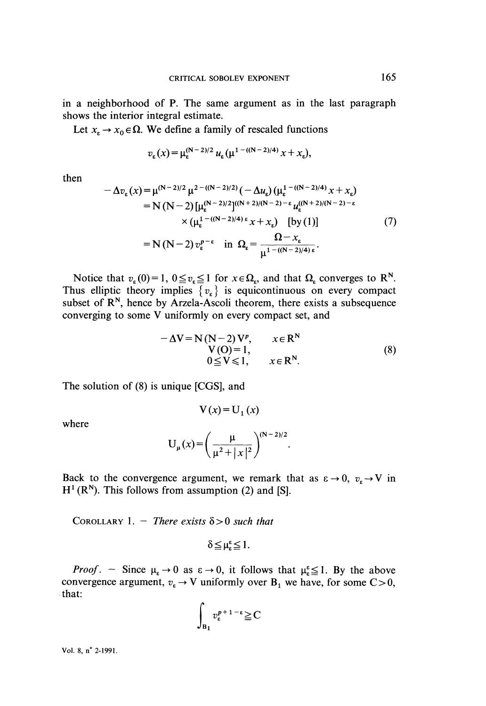in a neighborhood of P. The same argument as in the last paragraph shows the interior integral estimate.

Let  $x_t \to x_0 \in \Omega$ . We define a family of rescaled functions

$$
v_{\varepsilon}(x) = \mu_{\varepsilon}^{(N-2)/2} u_{\varepsilon} (\mu^{1 - ((N-2)/4)} x + x_{\varepsilon}),
$$

then

$$
-\Delta v_{\varepsilon}(x) = \mu^{(N-2)/2} \mu^{2 - ((N-2)/2)} (-\Delta u_{\varepsilon}) (\mu_{\varepsilon}^{1 - ((N-2)/4)} x + x_{\varepsilon})
$$
  
\n
$$
= N (N-2) [\mu_{\varepsilon}^{(N-2)/2}]^{((N+2)/(N-2) - \varepsilon} u_{\varepsilon}^{((N+2)/(N-2) - \varepsilon}
$$
  
\n
$$
\times (\mu_{\varepsilon}^{1 - ((N-2)/4) \varepsilon} x + x_{\varepsilon}) [\text{by (1)}]
$$
  
\n
$$
= N (N-2) v_{\varepsilon}^{p-\varepsilon} \text{ in } \Omega_{\varepsilon} = \frac{\Omega - x_{\varepsilon}}{\mu^{1 - ((N-2)/4) \varepsilon}}.
$$
 (7)

Notice that  $v_{\varepsilon}(0) = 1$ ,  $0 \le v_{\varepsilon} \le 1$  for  $x \in \Omega_{\varepsilon}$ , and that  $\Omega_{\varepsilon}$  converges to R<sup>N</sup>. Thus elliptic theory implies  $\{v_{\varepsilon}\}\)$  is equicontinuous on every compact subset of  $\mathbb{R}^N$ , hence by Arzela-Ascoli theorem, there exists a subsequence converging to some V uniformly on every compact set, and

$$
-\Delta V = N(N-2) Vp, \qquad x \in RN \nV(O) = 1, \n0 \le V \le 1, \qquad x \in RN.
$$
\n(8)

The solution of (8) is unique [CGS], and

 $V(x) = U_1(x)$ 

where

$$
U_{\mu}(x) = \left(\frac{\mu}{\mu^2 + |x|^2}\right)^{(N-2)/2}
$$

Back to the convergence argument, we remark that as  $\varepsilon \to 0$ ,  $v_{\varepsilon} \to V$  in  $H^1(R^N)$ . This follows from assumption (2) and [S].

COROLLARY 1. - There exists  $\delta > 0$  such that

$$
\delta \leq \mu_{\epsilon}^{\epsilon} \leq 1.
$$

*Proof.* - Since  $\mu_{\epsilon} \rightarrow 0$  as  $\epsilon \rightarrow 0$ , it follows that  $\mu_{\epsilon}^s \leq 1$ . By the above convergence argument,  $v_{\varepsilon} \to V$  uniformly over B<sub>1</sub> we have, for some C > 0, that:

$$
\int_{B_1} v_{\varepsilon}^{p+1-\varepsilon} \geq C
$$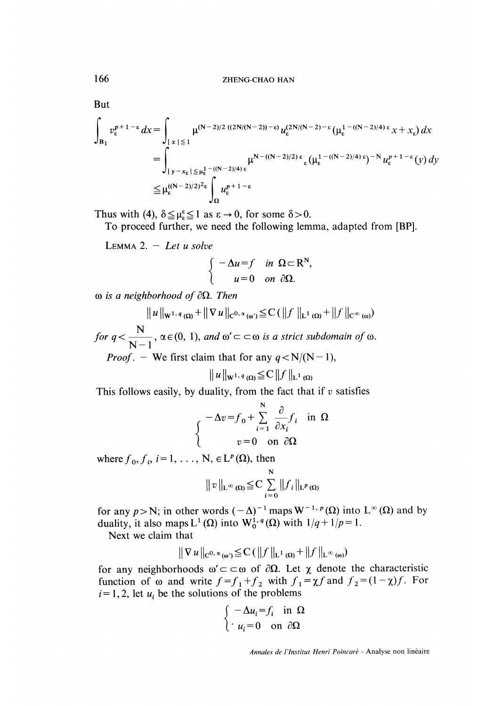But

$$
\int_{B_1} v_{\varepsilon}^{p+1-\varepsilon} dx = \int_{|x| \le 1} \mu^{(N-2)/2} \frac{((2N/(N-2))-\varepsilon)}{\varepsilon} u_{\varepsilon}^{(2N/(N-2)-\varepsilon} (\mu_{\varepsilon}^{1-(N-2)/4) \varepsilon} x + x_{\varepsilon}) dx
$$
  
\n
$$
= \int_{|y-x_{\varepsilon}| \le \mu_{\varepsilon}^{1-(N-2)/4 \varepsilon}}^{\mu^{N-2}} \mu^{N-(N-2)/2 \varepsilon} (\mu_{\varepsilon}^{1-(N-2)/4) \varepsilon})^{-N} u_{\varepsilon}^{p+1-\varepsilon}(y) dy
$$
  
\n
$$
\le \mu_{\varepsilon}^{((N-2)/2)^2 \varepsilon} \int_{\Omega} u_{\varepsilon}^{p+1-\varepsilon}
$$

Thus with (4),  $\delta \leq \mu_{\epsilon}^{\epsilon} \leq 1$  as  $\epsilon \to 0$ , for some  $\delta > 0$ .

To proceed further, we need the following lemma, adapted from [BP].

LEMMA 2.  $-$  Let u solve

$$
\begin{cases}\n-\Delta u = f & \text{in } \Omega \subset \mathbb{R}^N, \\
u = 0 & \text{on } \partial \Omega.\n\end{cases}
$$

 $\omega$  is a neighborhood of  $\partial\Omega$ . Then

 $||u||_{\mathbf{W}^{1, q}(\Omega)} + ||\nabla u||_{C^{0, \alpha}(\omega)} \leq C (||f||_{\mathbf{L}^{1}(\Omega)} + ||f||_{C^{0}})$ <br>for  $q < \frac{\mathbf{N}}{\mathbf{N}-1}$ ,  $\alpha \in (0, 1)$ , and  $\omega' \subset \subset \omega$  is a strict subdomain.

*Proof.* – We first claim that for any  $q < N/(N-1)$ ,

$$
||u||_{\mathbf{W}^{1, q}(\Omega)} \leq C ||f||_{\mathbf{L}^{1}(\Omega)}
$$

This follows easily, by duality, from the fact that if  $v$  satisfies

$$
\begin{cases}\n-\Delta v = f_0 + \sum_{i=1}^{N} \frac{\partial}{\partial x_i} f_i & \text{in } \Omega \\
v = 0 & \text{on } \partial \Omega\n\end{cases}
$$

where  $f_0, f_i, i=1, \ldots, N, \in L^p(\Omega)$ , then

$$
||v||_{L^{\infty}(\Omega)} \leq C \sum_{i=0}^{N} ||f_{i}||_{L^{p}(\Omega)}
$$

for any  $p > N$ ; in other words  $(-\Delta)^{-1}$  maps  $W^{-1, p}(\Omega)$  into  $L^{\infty}(\Omega)$  and by duality, it also maps  $L^1(\Omega)$  into  $W_0^{1,q}(\Omega)$  with  $1/q+1/p=1$ .

Next we claim that

$$
\|\nabla u\|_{C^{0,\alpha}(\omega)} \leq C \left( \|f\|_{L^1(\Omega)} + \|f\|_{L^\infty(\omega)} \right)
$$

for any neighborhoods  $\omega' \subset \subset \omega$  of  $\partial \Omega$ . Let  $\chi$  denote the characteristic function of  $\omega$  and write  $f=f_1+f_2$  with  $f_1=\chi f$  and  $f_2=(1-\chi)f$ . For  $i = 1, 2$ , let  $u_i$  be the solutions of the problems

$$
\begin{cases}\n-\Delta u_i = f_i & \text{in } \Omega \\
u_i = 0 & \text{on } \partial\Omega\n\end{cases}
$$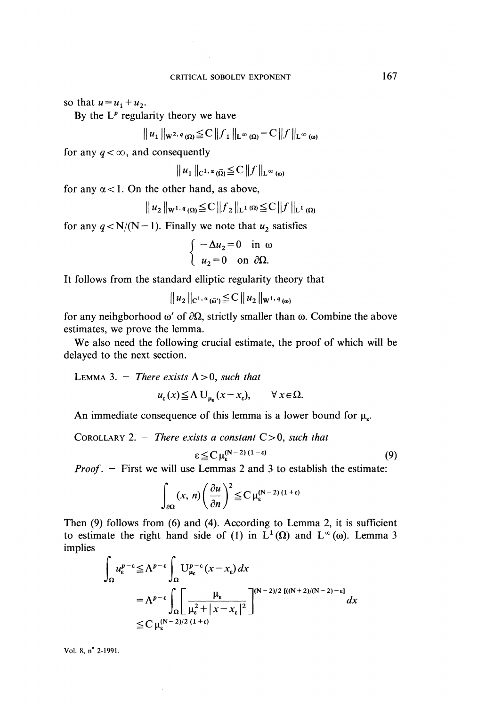so that  $u = u_1 + u_2$ .

By the  $L^p$  regularity theory we have

$$
||u_1||_{\mathbf{W}^{2,q}(\Omega)} \leqq C||f_1||_{\mathbf{L}^{\infty}(\Omega)} = C||f||_{\mathbf{L}^{\infty}(\omega)}
$$

for any  $q < \infty$ , and consequently

$$
|u_1||_{C^{1,\alpha}(\overline{\Omega})} \leqq C ||f||_{L^{\infty}(\omega)}
$$

for any  $\alpha$  < 1. On the other hand, as above,

$$
|u_2||_{\mathbf{W}^{1,q}(\Omega)} \leq C ||f_2||_{\mathbf{L}^{1}(\Omega)} \leq C ||f||_{\mathbf{L}^{1}(\Omega)}
$$

for any  $q < N/(N-1)$ . Finally we note that  $u_2$  satisfies

$$
\begin{cases}\n-\Delta u_2 = 0 & \text{in } \omega \\
u_2 = 0 & \text{on } \partial\Omega.\n\end{cases}
$$

It follows from the standard elliptic regularity theory that

$$
||u_2||_{C^{1,\alpha}(\bar{\omega})} \leq C ||u_2||_{W^{1,\,q}(\omega)}
$$

for any neihgborhood  $\omega'$  of  $\partial\Omega$ , strictly smaller than  $\omega$ . Combine the above estimates, we prove the lemma.

We also need the following crucial estimate, the proof of which will be delayed to the next section.

LEMMA 3. - There exists  $\Lambda > 0$ , such that

$$
u_{\varepsilon}(x) \leq \Lambda \mathbf{U}_{\mathbf{u}_{\varepsilon}}(x - x_{\varepsilon}), \qquad \forall \, x \in \Omega.
$$

An immediate consequence of this lemma is a lower bound for  $\mu_{s}$ .

COROLLARY 2. - There exists a constant  $C > 0$ , such that

$$
\varepsilon \leq C \,\mu_{\varepsilon}^{(N-2)(1-\varepsilon)} \tag{9}
$$

*Proof.*  $-$  First we will use Lemmas 2 and 3 to establish the estimate:

$$
\int_{\partial\Omega} (x, n) \left( \frac{\partial u}{\partial n} \right)^2 \leq C \, \mu_{\varepsilon}^{(N-2) (1+\varepsilon)}
$$

Then (9) follows from (6) and (4). According to Lemma 2, it is sufficient to estimate the right hand side of (1) in  $L^1(\Omega)$  and  $L^{\infty}(\omega)$ . Lemma 3 implies

$$
\int_{\Omega} u_{\varepsilon}^{p-\varepsilon} \leq \Lambda^{p-\varepsilon} \int_{\Omega} U_{\mu_{\varepsilon}}^{p-\varepsilon} (x - x_{\varepsilon}) dx
$$
\n
$$
= \Lambda^{p-\varepsilon} \int_{\Omega} \left[ \frac{\mu_{\varepsilon}}{\mu_{\varepsilon}^2 + |x - x_{\varepsilon}|^2} \right]^{(N-2)/2} \frac{\left[((N+2)/(N-2) - \varepsilon\right]}{dx}
$$
\n
$$
\leq C \mu_{\varepsilon}^{(N-2)/2} \frac{(1+\varepsilon)}{(1+\varepsilon)}
$$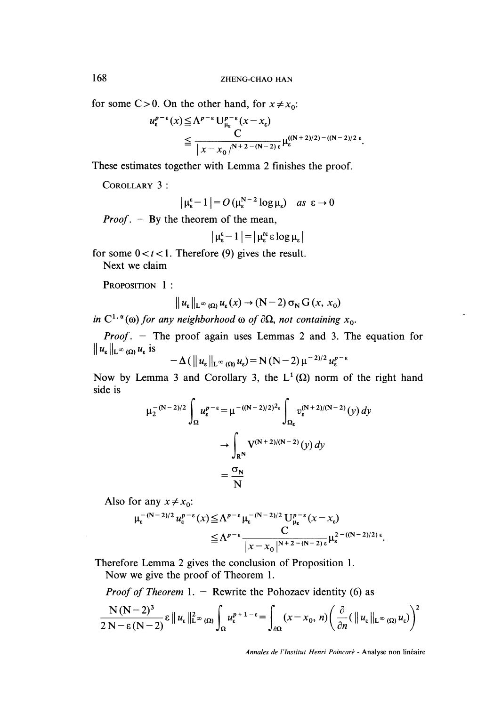for some C > 0. On the other hand, for  $x \neq x_0$ :

$$
\begin{split} u_{\varepsilon}^{p-\varepsilon}(x) &\leq \Lambda^{p-\varepsilon} \mathsf{U}_{\mu_{\varepsilon}}^{p-\varepsilon}(x-x_{\varepsilon}) \\ &\leq \frac{C}{|x-x_{0}|^{N+2-(N-2)\varepsilon}} \mu_{\varepsilon}^{((N+2)/2)-(N-2)/2\varepsilon} .\end{split}
$$

These estimates together with Lemma 2 finishes the proof.

COROLLARY 3:

$$
\left|\mu_{\varepsilon}^{\varepsilon}-1\right| = O\left(\mu_{\varepsilon}^{N-2}\log\mu_{\varepsilon}\right) \quad \text{as } \varepsilon \to 0
$$

*Proof.*  $-$  By the theorem of the mean,

$$
|\mu_{\epsilon}^{\epsilon} - 1| = |\mu_{\epsilon}^{t\epsilon} \epsilon \log \mu_{\epsilon}|
$$

for some  $0 < t < 1$ . Therefore (9) gives the result.

Next we claim

PROPOSITION 1:

$$
\|u_{\varepsilon}\|_{\mathsf{L}^{\infty}(\Omega)} u_{\varepsilon}(x) \to (\mathsf{N}-2) \sigma_{\mathsf{N}} G(x, x_0)
$$

in  $C^{1,\alpha}(\omega)$  for any neighborhood  $\omega$  of  $\partial\Omega$ , not containing  $x_0$ .

*Proof.* - The proof again uses Lemmas 2 and 3. The equation for  $||u_{\varepsilon}||_{L^{\infty}(\Omega)} u_{\varepsilon}$  is e.

$$
-\Delta\left(\left\|u_{\varepsilon}\right\|_{\mathrm{L}^{\infty}\left(\Omega\right)} u_{\varepsilon}\right)=\mathrm{N}\left(\mathrm{N}-2\right)\mu^{-2}}u_{\varepsilon}^{p-\varepsilon}
$$

Now by Lemma 3 and Corollary 3, the  $L^1(\Omega)$  norm of the right hand side is

$$
\mu_2^{-(N-2)/2} \int_{\Omega} u_{\varepsilon}^{p-\varepsilon} = \mu^{-(N-2)/2)^2 \varepsilon} \int_{\Omega_{\varepsilon}} v_{\varepsilon}^{(N+2)/(N-2)}(y) dy
$$

$$
\to \int_{R^N} V^{(N+2)/(N-2)}(y) dy
$$

$$
= \frac{\sigma_N}{N}
$$

Also for any  $x \neq x_0$ :

$$
\mu_{\varepsilon}^{-(N-2)/2} \, u_{\varepsilon}^{p-\varepsilon}(x) \leq \Lambda^{p-\varepsilon} \, \mu_{\varepsilon}^{-(N-2)/2} \, U_{\mu_{\varepsilon}}^{p-\varepsilon}(x-x_{\varepsilon})
$$
\n
$$
\leq \Lambda^{p-\varepsilon} \frac{C}{|x-x_0|^{N+2-(N-2)\varepsilon}} \mu_{\varepsilon}^{2-(N-2)/2+\varepsilon}.
$$

Therefore Lemma 2 gives the conclusion of Proposition 1.

Now we give the proof of Theorem 1.

*Proof of Theorem* 1. - Rewrite the Pohozaev identity (6) as

$$
\frac{N(N-2)^3}{2N-\varepsilon(N-2)}\varepsilon \|u_{\varepsilon}\|_{L^{\infty}(\Omega)}^2 \int_{\Omega} u_{\varepsilon}^{p+1-\varepsilon} = \int_{\partial\Omega} (x-x_0, n) \left(\frac{\partial}{\partial n}(\|u_{\varepsilon}\|_{L^{\infty}(\Omega)} u_{\varepsilon})\right)^2
$$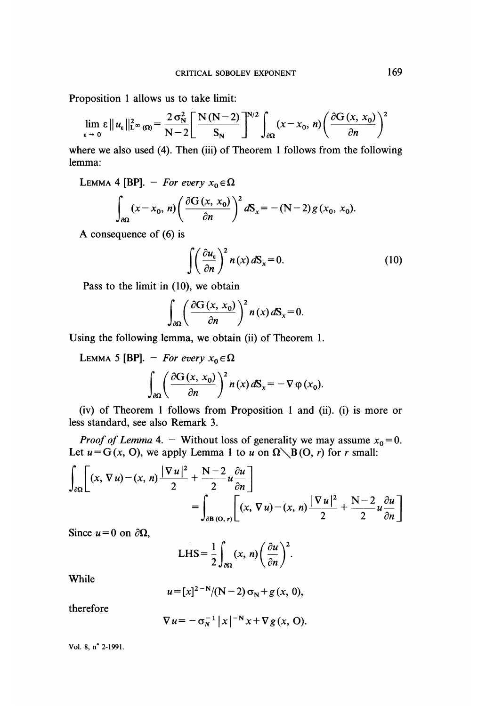Proposition 1 allows us to take limit:

$$
\lim_{\varepsilon \to 0} \varepsilon \|u_{\varepsilon}\|_{\mathbf{L}^{\infty}(\Omega)}^2 = \frac{2 \sigma_N^2}{N-2} \left[ \frac{N(N-2)}{S_N} \right]^{N/2} \int_{\partial \Omega} (x - x_0, n) \left( \frac{\partial G(x, x_0)}{\partial n} \right)^2
$$

where we also used (4). Then (iii) of Theorem 1 follows from the following lemma:

LEMMA 4 [BP]. - For every  $x_0 \in \Omega$ 

$$
\int_{\partial\Omega} (x - x_0, n) \left( \frac{\partial G(x, x_0)}{\partial n} \right)^2 dS_x = -(N-2) g(x_0, x_0).
$$

A consequence of (6) is

$$
\int \left(\frac{\partial u_{\varepsilon}}{\partial n}\right)^2 n(x) dS_x = 0.
$$
 (10)

Pass to the limit in (10), we obtain

$$
\int_{\partial\Omega}\left(\frac{\partial G(x,\,x_0)}{\partial n}\right)^2 n(x)\,dS_x=0.
$$

Using the following lemma, we obtain (ii) of Theorem 1.

LEMMA 5 [BP]. - For every  $x_0 \in \Omega$ 

$$
\int_{\partial\Omega}\left(\frac{\partial G(x,\,x_0)}{\partial n}\right)^2 n(x)\,dS_x = -\nabla\,\varphi\,(x_0).
$$

(iv) of Theorem 1 follows from Proposition 1 and (ii). (i) is more or less standard, see also Remark 3.

*Proof of Lemma* 4. - Without loss of generality we may assume  $x_0 = 0$ . Let  $u = G(x, 0)$ , we apply Lemma 1 to u on  $\Omega \setminus B(0, r)$  for r small:

$$
\int_{\partial\Omega} \left[ (x, \nabla u) - (x, n) \frac{|\nabla u|^2}{2} + \frac{N-2}{2} u \frac{\partial u}{\partial n} \right]
$$
  
= 
$$
\int_{\partial B(0, r)} \left[ (x, \nabla u) - (x, n) \frac{|\nabla u|^2}{2} + \frac{N-2}{2} u \frac{\partial u}{\partial n} \right]
$$

Since  $u = 0$  on  $\partial \Omega$ ,

LHS = 
$$
\frac{1}{2} \int_{\partial \Omega} (x, n) \left( \frac{\partial u}{\partial n} \right)^2
$$
.

While

$$
u = [x]^{2-N}/(N-2) \sigma_N + g(x, 0),
$$

therefore

$$
\nabla u = -\sigma_N^{-1} |x|^{-N} x + \nabla g(x, 0).
$$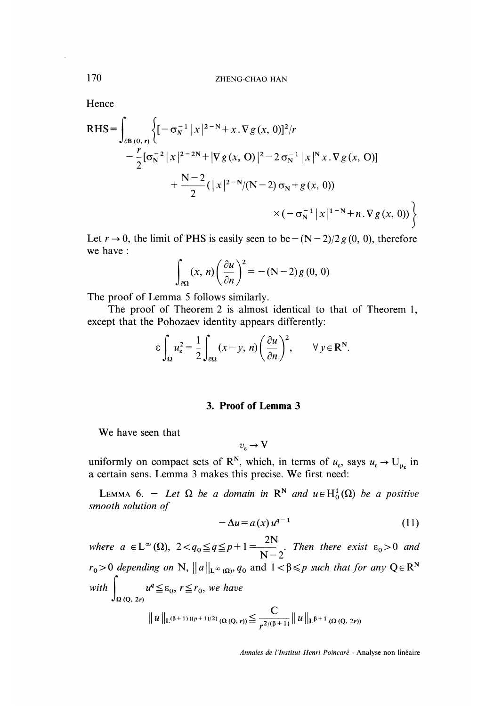**Hence** 

RHS = 
$$
\int_{\partial B(0,r)} \left\{ \left[ -\sigma_N^{-1} |x|^{2-N} + x \cdot \nabla g(x, 0) \right]^2 / r - \frac{r}{2} [\sigma_N^{-2} |x|^{2-2N} + |\nabla g(x, 0)|^2 - 2 \sigma_N^{-1} |x|^N x \cdot \nabla g(x, 0) \right] + \frac{N-2}{2} (|x|^{2-N}/(N-2) \sigma_N + g(x, 0)) \times (-\sigma_N^{-1} |x|^{1-N} + n \cdot \nabla g(x, 0)) \right\}
$$

Let  $r \to 0$ , the limit of PHS is easily seen to be  $-(N-2)/2g(0, 0)$ , therefore we have :

$$
\int_{\partial\Omega} (x, n) \left( \frac{\partial u}{\partial n} \right)^2 = - (N - 2) g (0, 0)
$$

The proof of Lemma 5 follows similarly.

The proof of Theorem 2 is almost identical to that of Theorem 1, except that the Pohozaev identity appears differently:

$$
\varepsilon \int_{\Omega} u_{\varepsilon}^2 = \frac{1}{2} \int_{\partial \Omega} (x - y, n) \left( \frac{\partial u}{\partial n} \right)^2, \qquad \forall y \in \mathbb{R}^N.
$$

#### 3. Proof of Lemma 3

We have seen that

$$
\upsilon_\epsilon\to V
$$

uniformly on compact sets of R<sup>N</sup>, which, in terms of  $u_{\varepsilon}$ , says  $u_{\varepsilon} \to U_{\mu_{\varepsilon}}$  in a certain sens. Lemma 3 makes this precise. We first need:

LEMMA 6. - Let  $\Omega$  be a domain in  $\mathbb{R}^N$  and  $u \in H_0^1(\Omega)$  be a positive smooth solution of

$$
-\Delta u = a(x) u^{q-1} \tag{11}
$$

where  $a \in L^{\infty}(\Omega)$ ,  $2 < q_0 \leq q \leq p+1$   $\frac{2N}{N-2}$ . Then there exist  $\epsilon_0 > 0$  and  $r_0 > 0$  depending on N,  $||a||_{L^{\infty}(\Omega)}$ ,  $q_0$  and  $1 < \beta \leq p$  such that for any  $Q \in \mathbb{R}^N$ with  $\int_{\Omega} u^q \leq \varepsilon_0$ ,  $r \leq r_0$ , we have  $||u||_{L^{(\beta+1)}((p+1)/2)} \Omega(Q,r)) \leq \frac{C}{r^{2/(\beta+1)}} ||u||_{L^{\beta+1}} \Omega(Q, 2r))$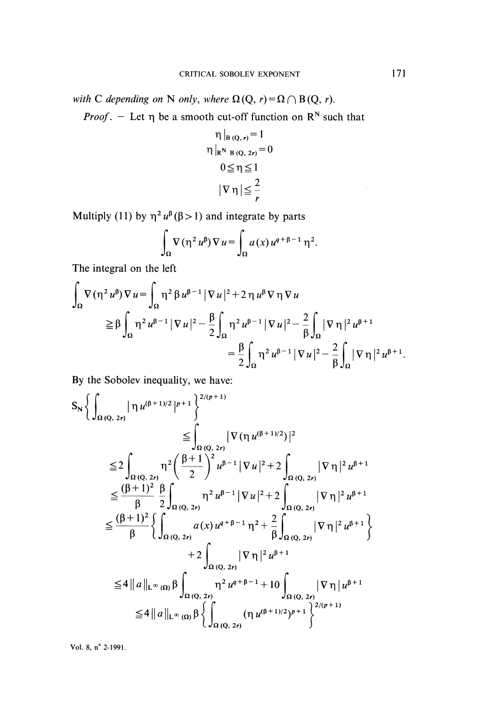with C depending on N only, where  $\Omega(Q, r) = \Omega \cap B(Q, r)$ .

*Proof.* - Let  $\eta$  be a smooth cut-off function on  $\mathbb{R}^N$  such that

$$
\eta|_{B(Q, r)} = 1
$$
  
\n
$$
\eta|_{R^{N} B(Q, 2r)} = 0
$$
  
\n
$$
0 \leq \eta \leq 1
$$
  
\n
$$
|\nabla \eta| \leq \frac{2}{r}
$$

Multiply (11) by  $\eta^2 u^{\beta} (\beta > 1)$  and integrate by parts

$$
\int_{\Omega} \nabla \left( \eta^2 u^{\beta} \right) \nabla u = \int_{\Omega} a(x) u^{q+\beta-1} \eta^2.
$$

The integral on the left

$$
\int_{\Omega} \nabla (\eta^2 u^{\beta}) \nabla u = \int_{\Omega} \eta^2 \beta u^{\beta - 1} |\nabla u|^2 + 2 \eta u^{\beta} \nabla \eta \nabla u
$$
\n
$$
\geq \beta \int_{\Omega} \eta^2 u^{\beta - 1} |\nabla u|^2 - \frac{\beta}{2} \int_{\Omega} \eta^2 u^{\beta - 1} |\nabla u|^2 - \frac{2}{\beta} \int_{\Omega} |\nabla \eta|^2 u^{\beta + 1}
$$
\n
$$
= \frac{\beta}{2} \int_{\Omega} \eta^2 u^{\beta - 1} |\nabla u|^2 - \frac{2}{\beta} \int_{\Omega} |\nabla \eta|^2 u^{\beta + 1}.
$$

By the Sobolev inequality, we have:

$$
S_{N} \Biggl\{ \int_{\Omega(Q, 2r)} |\eta u^{(\beta+1)/2}|^{p+1} \Biggr\}^{2/(p+1)} \n\leq \int_{\Omega(Q, 2r)} |\nabla(\eta u^{(\beta+1)/2})|^{2} \n\leq 2 \int_{\Omega(Q, 2r)} \eta^{2} \Biggl( \frac{\beta+1}{2} \Biggr)^{2} u^{\beta-1} |\nabla u|^{2} + 2 \int_{\Omega(Q, 2r)} |\nabla \eta|^{2} u^{\beta+1} \n\leq \frac{(\beta+1)^{2}}{\beta} \frac{\beta}{2} \int_{\Omega(Q, 2r)} \eta^{2} u^{\beta-1} |\nabla u|^{2} + 2 \int_{\Omega(Q, 2r)} |\nabla \eta|^{2} u^{\beta+1} \n\leq \frac{(\beta+1)^{2}}{\beta} \Biggl\{ \int_{\Omega(Q, 2r)} a(x) u^{q+\beta-1} \eta^{2} + \frac{2}{\beta} \int_{\Omega(Q, 2r)} |\nabla \eta|^{2} u^{\beta+1} \Biggr\} \n+ 2 \int_{\Omega(Q, 2r)} |\nabla \eta|^{2} u^{\beta+1} \n\leq 4 ||a||_{L^{\infty}(\Omega)} \beta \int_{\Omega(Q, 2r)} \eta^{2} u^{q+\beta-1} + 10 \int_{\Omega(Q, 2r)} |\nabla \eta| u^{\beta+1} \n\leq 4 ||a||_{L^{\infty}(\Omega)} \beta \Biggl\{ \int_{\Omega(Q, 2r)} (\eta u^{(\beta+1)/2})^{p+1} \Biggr\}^{2/(p+1)}
$$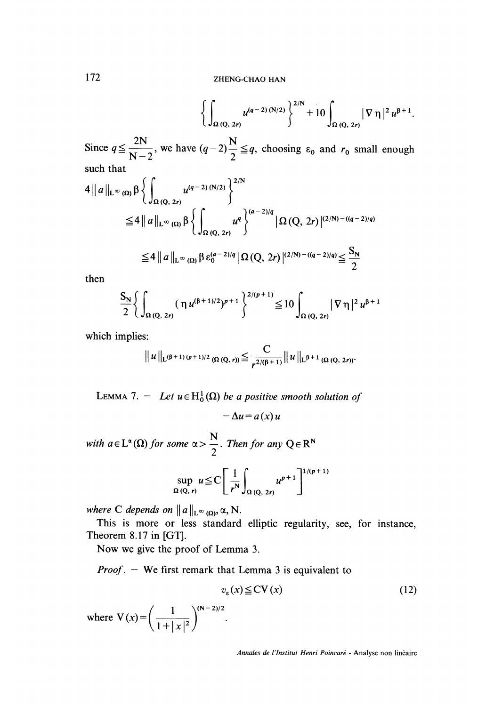$$
\bigg\{\int_{\Omega\,(Q,\,2r)}u^{(q-2)\,(N/2)}\bigg\}^{2/N}+10\int_{\Omega\,(Q,\,2r)}|\nabla\,\eta\,|^2\,u^{\beta+1}.
$$

Since  $q \leq \frac{2N}{N-2}$ , we have  $(q-2)\frac{N}{2} \leq q$ , choosing  $\varepsilon_0$  and  $r_0$  small enough such that

$$
4 || a ||_{L^{\infty}(\Omega)} \beta \left\{ \int_{\Omega(Q, 2r)} u^{(q-2)(N/2)} \right\}^{2/N}
$$
  
\n
$$
\leq 4 || a ||_{L^{\infty}(\Omega)} \beta \left\{ \int_{\Omega(Q, 2r)} u^{q} \right\}^{(a-2)/q} |\Omega(Q, 2r)|^{(2/N)-(q-2)/q}
$$
  
\n
$$
\leq 4 || a ||_{L^{\infty}(\Omega)} \beta \epsilon_0^{(a-2)/q} |\Omega(Q, 2r)|^{(2/N)-(q-2)/q} \leq \frac{S_N}{2}
$$

then

$$
\frac{S_N}{2} \left\{ \int_{\Omega(Q, 2r)} (\eta u^{(\beta+1)/2})^{p+1} \right\}^{2/(p+1)} \leq 10 \int_{\Omega(Q, 2r)} |\nabla \eta|^2 u^{\beta+1}
$$

which implies:

$$
\|u\|_{L^{(\beta+1)}(p+1)/2} \frac{C}{(\Omega\left(Q,r\right))} \leq \frac{C}{r^{2/(\beta+1)}} \|u\|_{L^{\beta+1}} \frac{C}{(\Omega\left(Q, 2r\right))}.
$$

LEMMA 7. - Let  $u \in H_0^1(\Omega)$  be a positive smooth solution of  $-\Delta u = a(x) u$ 

with  $a \in L^{\alpha}(\Omega)$  for some  $\alpha > \frac{N}{2}$ . Then for any  $Q \in R^N$ 

$$
\sup_{\Omega(Q,\,r)} u \leqq C \left[ \frac{1}{r^N} \int_{\Omega(Q,\,2r)} u^{p+1} \right]^{1/(p+1)}
$$

where C depends on  $||a||_{L^{\infty}(\Omega)}$ ,  $\alpha$ , N.

This is more or less standard elliptic regularity, see, for instance, Theorem 8.17 in [GT].

Now we give the proof of Lemma 3.

*Proof.*  $-$  We first remark that Lemma 3 is equivalent to

$$
v_{\varepsilon}(x) \leq CV(x) \tag{12}
$$

where  $V(x) = \left(\frac{1}{1+|x|^2}\right)^{(N-2)/2}$ .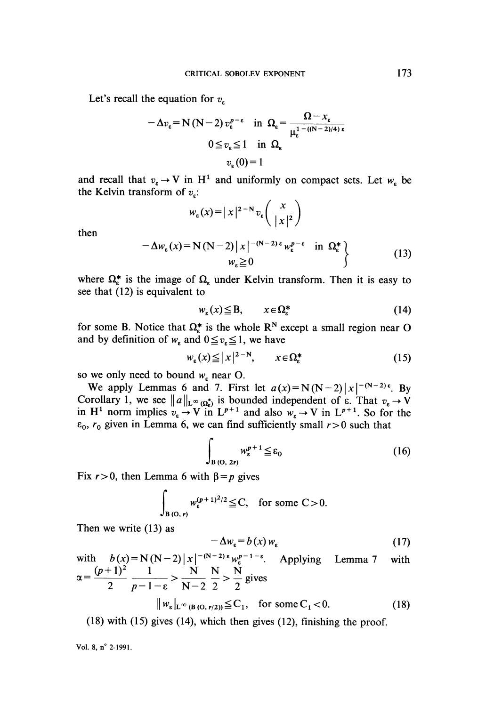Let's recall the equation for  $v_{\rm s}$ 

$$
-\Delta v_{\varepsilon} = N (N-2) v_{\varepsilon}^{p-\varepsilon} \quad \text{in} \ \ \Omega_{\varepsilon} = \frac{\Omega - x_{\varepsilon}}{\mu_{\varepsilon}^{1 - ((N-2)/4)\varepsilon}}
$$

$$
0 \le v_{\varepsilon} \le 1 \quad \text{in} \ \ \Omega_{\varepsilon}
$$

$$
v_{\varepsilon}(0) = 1
$$

and recall that  $v_{\varepsilon} \to V$  in H<sup>1</sup> and uniformly on compact sets. Let  $w_{\varepsilon}$  be the Kelvin transform of  $v_n$ :

$$
w_{\varepsilon}(x) = |x|^{2-N} v_{\varepsilon}\left(\frac{x}{|x|^2}\right)
$$
  

$$
-\Delta w_{\varepsilon}(x) = N(N-2)|x|^{-(N-2)\varepsilon} w_{\varepsilon}^{p-\varepsilon} \quad \text{in } \Omega_{\varepsilon}^*\}
$$
  

$$
w_{\varepsilon} \ge 0
$$
 (13)

then

where  $\Omega_{\epsilon}^{*}$  is the image of  $\Omega_{\epsilon}$  under Kelvin transform. Then it is easy to see that (12) is equivalent to

$$
w_{\varepsilon}(x) \leq B, \qquad x \in \Omega_{\varepsilon}^* \tag{14}
$$

for some B. Notice that  $\Omega_{\varepsilon}^{*}$  is the whole R<sup>N</sup> except a small region near O and by definition of  $w_*$  and  $0 \le v_* \le 1$ , we have

$$
w_{\varepsilon}(x) \le |x|^{2-N}, \qquad x \in \Omega_{\varepsilon}^* \tag{15}
$$

so we only need to bound  $w<sub>s</sub>$  near O.

We apply Lemmas 6 and 7. First let  $a(x) = N(N-2)|x|^{-(N-2)\epsilon}$ . By Corollary 1, we see  $||a||_{L^{\infty}(\Omega_{\epsilon})}$  is bounded independent of  $\epsilon$ . That  $v_{\epsilon} \to V$ in H<sup>1</sup> norm implies  $v_{\epsilon} \to V$  in  $L^{p+1}$  and also  $w_{\epsilon} \to V$  in  $L^{p+1}$ . So for the  $\varepsilon_0$ ,  $r_0$  given in Lemma 6, we can find sufficiently small  $r > 0$  such that

$$
\int_{B(0, 2r)} w_{\varepsilon}^{p+1} \leq \varepsilon_0 \tag{16}
$$

Fix  $r > 0$ , then Lemma 6 with  $\beta = p$  gives

$$
\int_{B(0,r)} w_{\varepsilon}^{(p+1)^2/2} \leq C, \text{ for some } C > 0.
$$

Then we write (13) as

$$
-\Delta w_{\varepsilon} = b(x) w_{\varepsilon} \tag{17}
$$

with  $b(x) = N(N-2)|x|^{-(N-2)\epsilon} w_{\epsilon}^{p-1-\epsilon}$ . Applying Lemma 7 with  $\alpha = \frac{(p+1)^2}{2} \frac{1}{p-1-\epsilon} > \frac{N}{N-2} \frac{N}{2} > \frac{N}{2}$  gives  $||w_{\varepsilon}||_{\mathcal{L}^{\infty}(\mathcal{B}(\Omega, r/2))} \leq C_1$ , for some  $C_1 < 0$ .  $(18)$ 

(18) with (15) gives (14), which then gives (12), finishing the proof.